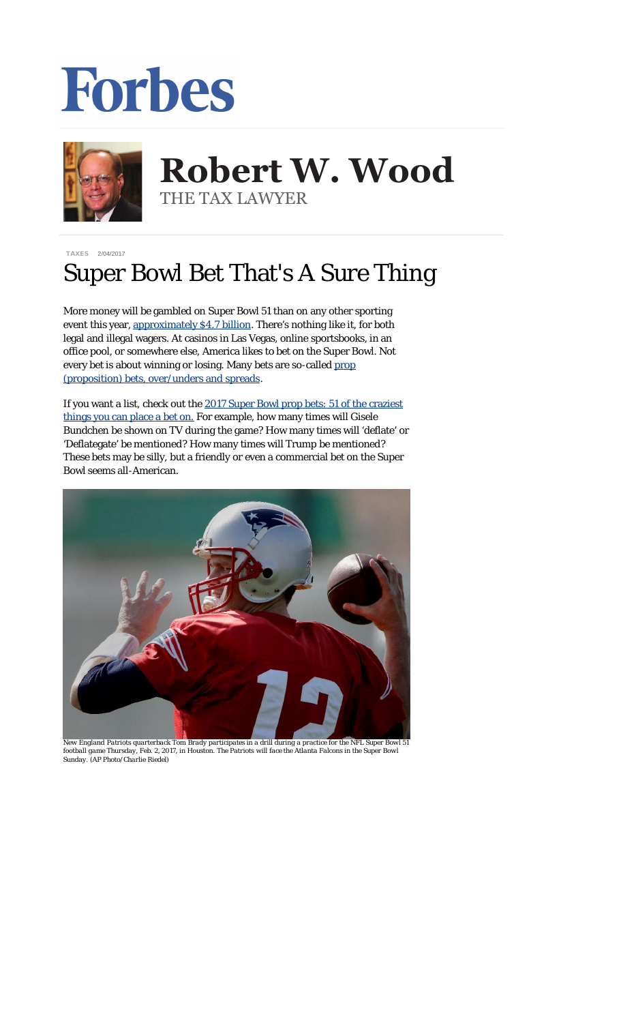## Forbes



## **Robert W. Wood Robert W. Wood** THE TAX LAWYER THE TAX LAWYER

[TAXES](http://www.forbes.com/taxes) 2/04/2017

## Super Bowl Bet That's A Sure Thing

More money will be gambled on Super Bowl 51 than on any other sporting event this year, [approximately \\$4.7 billion](https://www.americangaming.org/newsroom/press-releasess/americans-bet-47-billion-super-bowl-51). There's nothing like it, for both legal and illegal wagers. At casinos in Las Vegas, online sportsbooks, in an office pool, or somewhere else, America *likes* to bet on the Super Bowl. Not every bet is about winning or losing. Many bets are so-called [prop](http://ftw.usatoday.com/2017/01/2017-super-bowl-51-prop-bets-betting-gambling-odds-over-under-score-stats-halftime-show-lady-gaga-atlanta-falcons-new-engand-patriots-las-vegas-fox-broadcast-joe-buck-against-the-spread-predictions) [\(proposition\) bets, over/unders and spreads](http://ftw.usatoday.com/2017/01/2017-super-bowl-51-prop-bets-betting-gambling-odds-over-under-score-stats-halftime-show-lady-gaga-atlanta-falcons-new-engand-patriots-las-vegas-fox-broadcast-joe-buck-against-the-spread-predictions).

If you want a list, check out the [2017 Super Bowl prop bets: 51 of the craziest](http://www.cbssports.com/nfl/news/2017-super-bowl-prop-bets-51-of-the-craziest-things-you-can-place-a-bet-on/) [things you can place a bet on.](http://www.cbssports.com/nfl/news/2017-super-bowl-prop-bets-51-of-the-craziest-things-you-can-place-a-bet-on/) For example, how many times will Gisele Bundchen be shown on TV during the game? How many times will 'deflate' or 'Deflategate' be mentioned? How many times will Trump be mentioned? These bets may be silly, but a friendly or even a commercial bet on the Super Bowl seems all-American.



*New England Patriots quarterback Tom Brady participates in a drill during a practice for the NFL Super Bowl 51 football game Thursday, Feb. 2, 2017, in Houston. The Patriots will face the Atlanta Falcons in the Super Bowl Sunday. (AP Photo/Charlie Riedel)*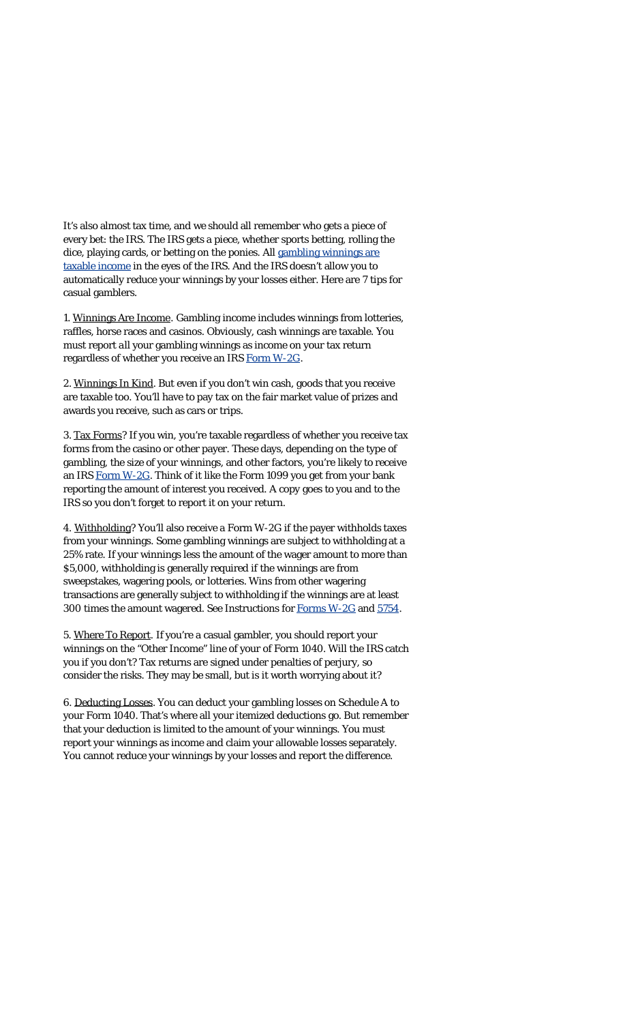It's also almost tax time, and we should all remember who gets a piece of every bet: the IRS. The IRS gets a piece, whether sports betting, rolling the dice, playing cards, or betting on the ponies. All [gambling winnings](https://www.irs.gov/uac/newsroom/six-tips-on-gambling-income-and-losses) are [taxable income](https://www.irs.gov/uac/newsroom/six-tips-on-gambling-income-and-losses) in the eyes of the IRS. And the IRS doesn't allow you to automatically reduce your winnings by your losses either. Here are 7 tips for casual gamblers.

1. Winnings Are Income. Gambling income includes winnings from lotteries, raffles, horse races and casinos. Obviously, cash winnings are taxable. You must report *all* your gambling winnings as income on your tax return regardless of whether you receive an IRS Form [W-2G](https://www.irs.gov/uac/about-form-w2g).

2. Winnings In Kind. But even if you don't win cash, goods that you receive are taxable too. You'll have to pay tax on the fair market value of prizes and awards you receive, such as cars or trips.

3. Tax Forms? If you win, you're taxable regardless of whether you receive tax forms from the casino or other payer. These days, depending on the type of gambling, the size of your winnings, and other factors, you're likely to receive an IRS Form [W-2G](https://www.irs.gov/uac/about-form-w2g). Think of it like the Form 1099 you get from your bank reporting the amount of interest you received. A copy goes to you and to the IRS so you don't forget to report it on your return.

4. Withholding? You'll also receive a Form W-2G if the payer withholds taxes from your winnings. Some gambling winnings are subject to withholding at a 25% rate. If your winnings less the amount of the wager amount to more than \$5,000, withholding is generally required if the winnings are from sweepstakes, wagering pools, or lotteries. Wins from other wagering transactions are generally subject to withholding if the winnings are at least 300 times the amount wagered. See Instructions for [Forms](https://www.irs.gov/uac/about-form-w2g) W-2G and [5754](https://www.irs.gov/uac/form-5754-statement-by-person-s-receiving-gambling-winnings).

5. Where To Report. If you're a casual gambler, you should report your winnings on the "Other Income" line of your of Form 1040. Will the IRS catch you if you don't? Tax returns are signed under penalties of perjury, so consider the risks. They may be small, but is it worth worrying about it?

6. Deducting Losses. You can deduct your gambling losses on Schedule A to your Form 1040. That's where all your itemized deductions go. But remember that your deduction is limited to the amount of your winnings. You must report your winnings as income and claim your allowable losses separately. You cannot reduce your winnings by your losses and report the difference.